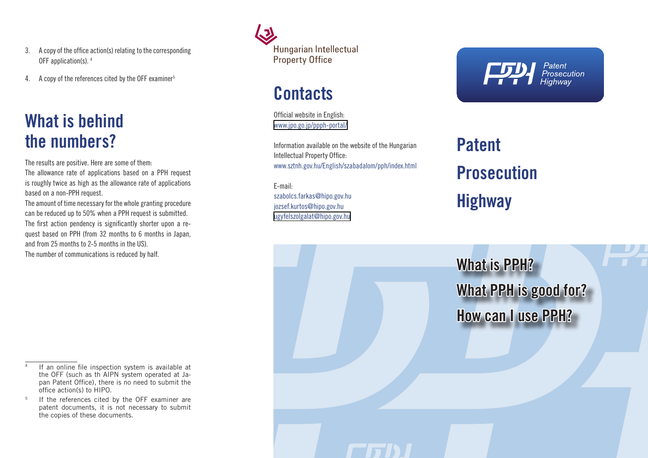- 3. A copy of the office action(s) relating to the corresponding OFF application(s). 4
- 4. A copy of the references cited by the OFF examiner<sup>5</sup>

### **What is behind the numbers?**

The results are positive. Here are some of them: The allowance rate of applications based on a PPH request is roughly twice as high as the allowance rate of applications based on a non-PPH request.

The amount of time necessary for the whole granting procedure can be reduced up to 50% when a PPH request is submitted. The first action pendency is significantly shorter upon a request based on PPH (from 32 months to 6 months in Japan, and from 25 months to 2-5 months in the US). The number of communications is reduced by half.



### **Contacts**

Official website in English: [www.jpo.go.jp/ppph-portal/](http://www.jpo.go.jp/ppph-portal/)

Information available on the website of the Hungarian Intellectual Property Office: www.sztnh.gov.hu/English/szabadalom/pph/index.html

E-mail: szabolcs.farkas@hipo.gov.hu [jozsef.kurtos@hipo.gov.hu](mailto:jozsef.kurtos@sztnh.gov.hu) [ugyfelszolgalat@hipo.gov.hu](mailto:ugyfelszolgalat@sztnh.gov.hu)

#### Patent Prosecution<br>Highway

# **Patent Prosecution Highway**

**What is PPH? What PPH is good for? How can I use PPH?**

If an online file inspection system is available at the OFF (such as th AIPN system operated at Japan Patent Office), there is no need to submit the office action(s) to HIPO.

If the references cited by the OFF examiner are patent documents, it is not necessary to submit the copies of these documents.